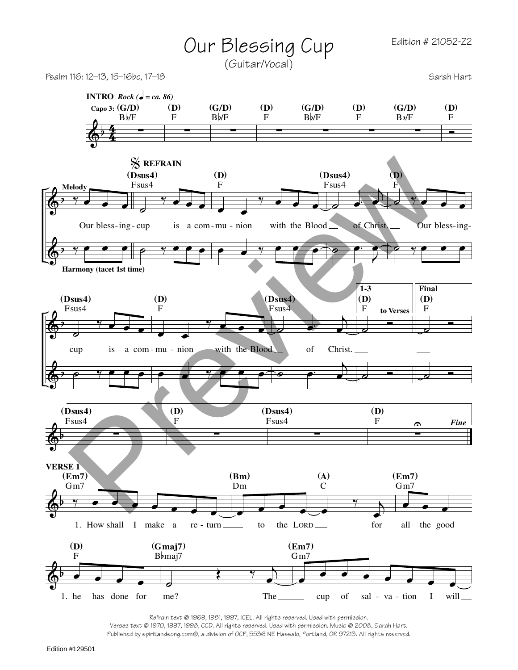## Our Blessing Cup (Guitar/Vocal)

Psalm 116: 12–13, 15–16bc, 17–18



Refrain text © 1969, 1981, 1997, ICEL. All rights reserved. Used with permission.

Verses text © 1970, 1997, 1998, CCD. All rights reserved. Used with permission. Music © 2008, Sarah Hart. Published by spiritandsong.com®, a division of OCP, 5536 NE Hassalo, Portland, OR 97213. All rights reserved.